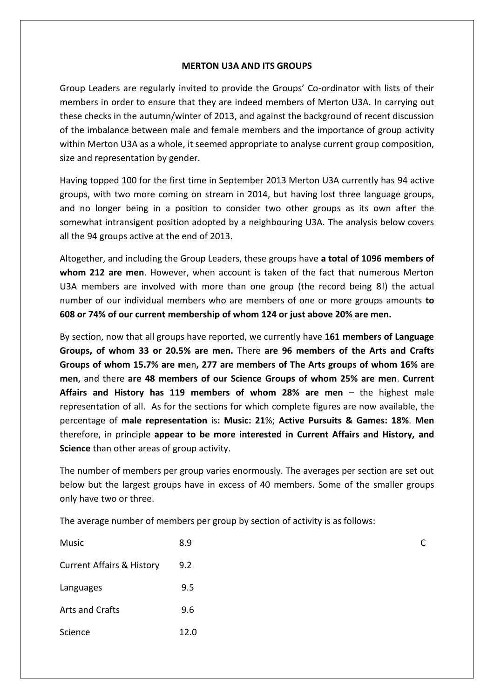## **MERTON U3A AND ITS GROUPS**

Group Leaders are regularly invited to provide the Groups' Co-ordinator with lists of their members in order to ensure that they are indeed members of Merton U3A. In carrying out these checks in the autumn/winter of 2013, and against the background of recent discussion of the imbalance between male and female members and the importance of group activity within Merton U3A as a whole, it seemed appropriate to analyse current group composition, size and representation by gender.

Having topped 100 for the first time in September 2013 Merton U3A currently has 94 active groups, with two more coming on stream in 2014, but having lost three language groups, and no longer being in a position to consider two other groups as its own after the somewhat intransigent position adopted by a neighbouring U3A. The analysis below covers all the 94 groups active at the end of 2013.

Altogether, and including the Group Leaders, these groups have **a total of 1096 members of whom 212 are men**. However, when account is taken of the fact that numerous Merton U3A members are involved with more than one group (the record being 8!) the actual number of our individual members who are members of one or more groups amounts **to 608 or 74% of our current membership of whom 124 or just above 20% are men.**

By section, now that all groups have reported, we currently have **161 members of Language Groups, of whom 33 or 20.5% are men.** There **are 96 members of the Arts and Crafts Groups of whom 15.7% are me**n**, 277 are members of The Arts groups of whom 16% are men**, and there **are 48 members of our Science Groups of whom 25% are men**. **Current Affairs and History has 119 members of whom 28% are men** – the highest male representation of all. As for the sections for which complete figures are now available, the percentage of **male representation** is**: Music: 21**%; **Active Pursuits & Games: 18%**. **Men**  therefore, in principle **appear to be more interested in Current Affairs and History, and Science** than other areas of group activity.

The number of members per group varies enormously. The averages per section are set out below but the largest groups have in excess of 40 members. Some of the smaller groups only have two or three.

The average number of members per group by section of activity is as follows:

| Music                                | 8.9  | r |
|--------------------------------------|------|---|
| <b>Current Affairs &amp; History</b> | 9.2  |   |
| Languages                            | 9.5  |   |
| Arts and Crafts                      | 9.6  |   |
| Science                              | 12.0 |   |